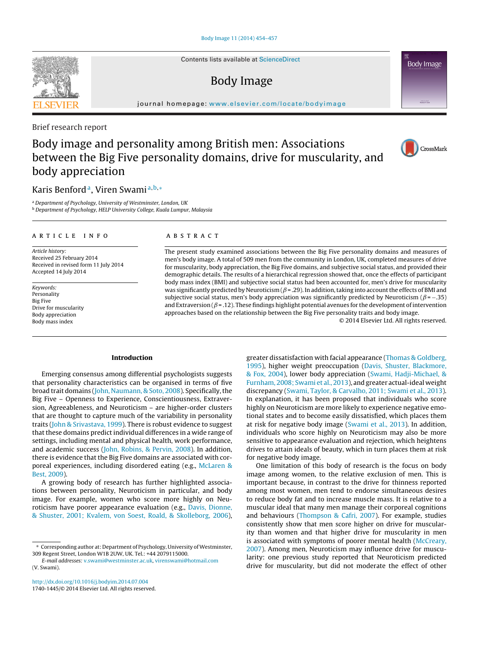Contents lists available at [ScienceDirect](http://www.sciencedirect.com/science/journal/17401445)

# Body Image

journal homepage: [www.elsevier.com/locate/bodyimage](http://www.elsevier.com/locate/bodyimage)

# Brief research report

# Body image and personality among British men: Associations between the Big Five personality domains, drive for muscularity, and body appreciation

# Karis Benford<sup>a</sup>, Viren Swami<sup>a,b,∗</sup>

<sup>a</sup> Department of Psychology, University of Westminster, London, UK

<sup>b</sup> Department of Psychology, HELP University College, Kuala Lumpur, Malaysia

# a r t i c l e i n f o

Article history: Received 25 February 2014 Received in revised form 11 July 2014 Accepted 14 July 2014

Keywords: Personality Big Five Drive for muscularity Body appreciation Body mass index

# A B S T R A C T

The present study examined associations between the Big Five personality domains and measures of men's body image. A total of 509 men from the community in London, UK, completed measures of drive for muscularity, body appreciation, the Big Five domains, and subjective social status, and provided their demographic details. The results of a hierarchical regression showed that, once the effects of participant body mass index (BMI) and subjective social status had been accounted for, men's drive for muscularity was significantly predicted by Neuroticism ( $\beta$  = .29). In addition, taking into account the effects of BMI and subjective social status, men's body appreciation was significantly predicted by Neuroticism ( $\beta$  = -.35) and Extraversion ( $\beta$  = .12). These findings highlight potential avenues for the development of intervention approaches based on the relationship between the Big Five personality traits and body image.

© 2014 Elsevier Ltd. All rights reserved.

# **Introduction**

Emerging consensus among differential psychologists suggests that personality characteristics can be organised in terms of five broad trait domains [\(John,](#page-3-0) [Naumann,](#page-3-0) [&](#page-3-0) [Soto,](#page-3-0) [2008\).](#page-3-0) Specifically, the Big Five – Openness to Experience, Conscientiousness, Extraversion, Agreeableness, and Neuroticism – are higher-order clusters that are thought to capture much of the variability in personality traits ([John](#page-3-0) [&](#page-3-0) [Srivastava,](#page-3-0) [1999\).](#page-3-0) There is robust evidence to suggest that these domains predict individual differences in a wide range of settings, including mental and physical health, work performance, and academic success ([John,](#page-3-0) [Robins,](#page-3-0) [&](#page-3-0) [Pervin,](#page-3-0) [2008\).](#page-3-0) In addition, there is evidence that the Big Five domains are associated with corporeal experiences, including disordered eating (e.g., [McLaren](#page-3-0) [&](#page-3-0) [Best,](#page-3-0) [2009\).](#page-3-0)

A growing body of research has further highlighted associations between personality, Neuroticism in particular, and body image. For example, women who score more highly on Neuroticism have poorer appearance evaluation (e.g., [Davis,](#page-3-0) [Dionne,](#page-3-0) [&](#page-3-0) [Shuster,](#page-3-0) [2001;](#page-3-0) [Kvalem,](#page-3-0) [von](#page-3-0) [Soest,](#page-3-0) [Roald,](#page-3-0) [&](#page-3-0) [Skolleborg,](#page-3-0) [2006\),](#page-3-0)

E-mail addresses: [v.swami@westminster.ac.uk](mailto:v.swami@westminster.ac.uk), [virenswami@hotmail.com](mailto:virenswami@hotmail.com) (V. Swami).

[http://dx.doi.org/10.1016/j.bodyim.2014.07.004](dx.doi.org/10.1016/j.bodyim.2014.07.004) 1740-1445/© 2014 Elsevier Ltd. All rights reserved.

[1995\),](#page-3-0) higher weight preoccupation ([Davis,](#page-3-0) [Shuster,](#page-3-0) [Blackmore,](#page-3-0) [&](#page-3-0) [Fox,](#page-3-0) [2004\),](#page-3-0) lower body appreciation [\(Swami,](#page-3-0) [Hadji-Michael,](#page-3-0) [&](#page-3-0) [Furnham,](#page-3-0) [2008;](#page-3-0) [Swami](#page-3-0) et [al.,](#page-3-0) [2013\),](#page-3-0) and greater actual-ideal weight discrepancy [\(Swami,](#page-3-0) [Taylor,](#page-3-0) [&](#page-3-0) [Carvalho,](#page-3-0) [2011;](#page-3-0) [Swami](#page-3-0) et [al.,](#page-3-0) [2013\).](#page-3-0) In explanation, it has been proposed that individuals who score highly on Neuroticism are more likely to experience negative emotional states and to become easily dissatisfied, which places them at risk for negative body image ([Swami](#page-3-0) et [al.,](#page-3-0) [2013\).](#page-3-0) In addition, individuals who score highly on Neuroticism may also be more sensitive to appearance evaluation and rejection, which heightens drives to attain ideals of beauty, which in turn places them at risk for negative body image.

greater dissatisfaction with facial appearance ([Thomas](#page-3-0) [&](#page-3-0) [Goldberg,](#page-3-0)

One limitation of this body of research is the focus on body image among women, to the relative exclusion of men. This is important because, in contrast to the drive for thinness reported among most women, men tend to endorse simultaneous desires to reduce body fat and to increase muscle mass. It is relative to a muscular ideal that many men manage their corporeal cognitions and behaviours ([Thompson](#page-3-0) [&](#page-3-0) [Cafri,](#page-3-0) [2007\).](#page-3-0) For example, studies consistently show that men score higher on drive for muscularity than women and that higher drive for muscularity in men is associated with symptoms of poorer mental health [\(McCreary,](#page-3-0) [2007\).](#page-3-0) Among men, Neuroticism may influence drive for muscularity: one previous study reported that Neuroticism predicted drive for muscularity, but did not moderate the effect of other







<sup>∗</sup> Corresponding author at: Department of Psychology, University of Westminster, 309 Regent Street, London W1B 2UW, UK. Tel.: +44 2079115000.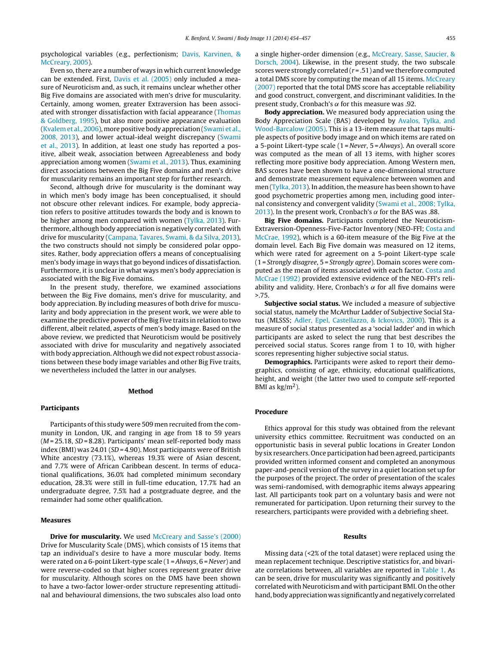psychological variables (e.g., perfectionism; [Davis,](#page-3-0) [Karvinen,](#page-3-0) [&](#page-3-0) [McCreary,](#page-3-0) [2005\).](#page-3-0)

Even so, there are a number of ways in which current knowledge can be extended. First, [Davis](#page-3-0) et [al.](#page-3-0) [\(2005\)](#page-3-0) only included a measure of Neuroticism and, as such, it remains unclear whether other Big Five domains are associated with men's drive for muscularity. Certainly, among women, greater Extraversion has been associated with stronger dissatisfaction with facial appearance [\(Thomas](#page-3-0) [&](#page-3-0) [Goldberg,](#page-3-0) [1995\),](#page-3-0) but also more positive appearance evaluation ([Kvalem](#page-3-0) et [al.,](#page-3-0) [2006\),](#page-3-0) more positive body appreciation ([Swami](#page-3-0) et [al.,](#page-3-0) [2008,](#page-3-0) [2013\),](#page-3-0) and lower actual-ideal weight discrepancy [\(Swami](#page-3-0) et [al.,](#page-3-0) [2013\).](#page-3-0) In addition, at least one study has reported a positive, albeit weak, association between Agreeableness and body appreciation among women [\(Swami](#page-3-0) et [al.,](#page-3-0) [2013\).](#page-3-0) Thus, examining direct associations between the Big Five domains and men's drive for muscularity remains an important step for further research.

Second, although drive for muscularity is the dominant way in which men's body image has been conceptualised, it should not obscure other relevant indices. For example, body appreciation refers to positive attitudes towards the body and is known to be higher among men compared with women [\(Tylka,](#page-3-0) [2013\).](#page-3-0) Furthermore, although body appreciation is negatively correlated with drive for muscularity [\(Campana,](#page-3-0) [Tavares,](#page-3-0) [Swami,](#page-3-0) [&](#page-3-0) [da](#page-3-0) [Silva,](#page-3-0) [2013\),](#page-3-0) the two constructs should not simply be considered polar opposites. Rather, body appreciation offers a means of conceptualising men's body image in ways that go beyond indices of dissatisfaction. Furthermore, it is unclear in what ways men's body appreciation is associated with the Big Five domains.

In the present study, therefore, we examined associations between the Big Five domains, men's drive for muscularity, and body appreciation. By including measures of both drive for muscularity and body appreciation in the present work, we were able to examine the predictive power ofthe Big Five traits in relation to two different, albeit related, aspects of men's body image. Based on the above review, we predicted that Neuroticism would be positively associated with drive for muscularity and negatively associated with body appreciation. Although we did not expect robust associations between these body image variables and other Big Five traits, we nevertheless included the latter in our analyses.

### **Method**

## **Participants**

Participants of this study were 509 men recruited from the community in London, UK, and ranging in age from 18 to 59 years  $(M = 25.18, SD = 8.28)$ . Participants' mean self-reported body mass index (BMI) was  $24.01$  (SD = 4.90). Most participants were of British White ancestry (73.1%), whereas 19.3% were of Asian descent, and 7.7% were of African Caribbean descent. In terms of educational qualifications, 36.0% had completed minimum secondary education, 28.3% were still in full-time education, 17.7% had an undergraduate degree, 7.5% had a postgraduate degree, and the remainder had some other qualification.

# **Measures**

**Drive for muscularity.** We used [McCreary](#page-3-0) [and](#page-3-0) [Sasse's](#page-3-0) [\(2000\)](#page-3-0) Drive for Muscularity Scale (DMS), which consists of 15 items that tap an individual's desire to have a more muscular body. Items were rated on a 6-point Likert-type scale (1 = Always, 6 = Never) and were reverse-coded so that higher scores represent greater drive for muscularity. Although scores on the DMS have been shown to have a two-factor lower-order structure representing attitudinal and behavioural dimensions, the two subscales also load onto a single higher-order dimension (e.g., [McCreary,](#page-3-0) [Sasse,](#page-3-0) [Saucier,](#page-3-0) [&](#page-3-0) [Dorsch,](#page-3-0) [2004\).](#page-3-0) Likewise, in the present study, the two subscale scores were strongly correlated  $(r = .51)$  and we therefore computed a total DMS score by computing the mean of all 15 items. [McCreary](#page-3-0) [\(2007\)](#page-3-0) reported that the total DMS score has acceptable reliability and good construct, convergent, and discriminant validities. In the present study, Cronbach's  $\alpha$  for this measure was .92.

**Body appreciation.** We measured body appreciation using the Body Appreciation Scale (BAS) developed by [Avalos,](#page-3-0) [Tylka,](#page-3-0) [and](#page-3-0) [Wood-Barcalow](#page-3-0) [\(2005\).](#page-3-0) This is a 13-item measure that taps multiple aspects of positive body image and on which items are rated on a 5-point Likert-type scale (1 = Never, 5 = Always). An overall score was computed as the mean of all 13 items, with higher scores reflecting more positive body appreciation. Among Western men, BAS scores have been shown to have a one-dimensional structure and demonstrate measurement equivalence between women and men ([Tylka,](#page-3-0) [2013\).](#page-3-0) In addition, the measure has been shown to have good psychometric properties among men, including good internal consistency and convergent validity [\(Swami](#page-3-0) et [al.,](#page-3-0) [2008;](#page-3-0) [Tylka,](#page-3-0) [2013\).](#page-3-0) In the present work, Cronbach's  $\alpha$  for the BAS was .88.

**Big Five domains.** Participants completed the Neuroticism-Extraversion-Openness-Five-Factor Inventory (NEO-FFI; [Costa](#page-3-0) [and](#page-3-0) [McCrae,](#page-3-0) [1992\),](#page-3-0) which is a 60-item measure of the Big Five at the domain level. Each Big Five domain was measured on 12 items, which were rated for agreement on a 5-point Likert-type scale (1 = Strongly disagree, 5 = Strongly agree). Domain scores were computed as the mean of items associated with each factor. [Costa](#page-3-0) [and](#page-3-0) [McCrae](#page-3-0) [\(1992\)](#page-3-0) provided extensive evidence of the NEO-FFI's reliability and validity. Here, Cronbach's  $\alpha$  for all five domains were >.75.

**Subjective social status.** We included a measure of subjective social status, namely the McArthur Ladder of Subjective Social Status (MLSSS; [Adler,](#page-3-0) [Epel,](#page-3-0) [Castellazzo,](#page-3-0) [&](#page-3-0) [Ickovics,](#page-3-0) [2000\).](#page-3-0) This is a measure of social status presented as a 'social ladder' and in which participants are asked to select the rung that best describes the perceived social status. Scores range from 1 to 10, with higher scores representing higher subjective social status.

**Demographics.** Participants were asked to report their demographics, consisting of age, ethnicity, educational qualifications, height, and weight (the latter two used to compute self-reported BMI as  $\text{kg/m}^2$ ).

## **Procedure**

Ethics approval for this study was obtained from the relevant university ethics committee. Recruitment was conducted on an opportunistic basis in several public locations in Greater London by six researchers. Once participation had been agreed, participants provided written informed consent and completed an anonymous paper-and-pencil version of the survey in a quiet location set up for the purposes of the project. The order of presentation of the scales was semi-randomised, with demographic items always appearing last. All participants took part on a voluntary basis and were not remunerated for participation. Upon returning their survey to the researchers, participants were provided with a debriefing sheet.

### **Results**

Missing data (<2% of the total dataset) were replaced using the mean replacement technique. Descriptive statistics for, and bivariate correlations between, all variables are reported in [Table](#page-2-0) 1. As can be seen, drive for muscularity was significantly and positively correlated with Neuroticism and with participant BMI. On the other hand, body appreciation was significantly andnegatively correlated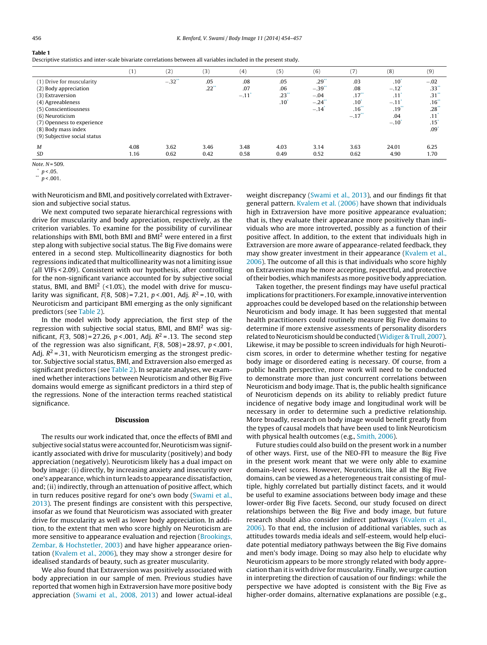# <span id="page-2-0"></span>**Table 1**

Descriptive statistics and inter-scale bivariate correlations between all variables included in the present study.

|                                                                                                                                                                                                                              | (1)          | (2)          | (3)             | (4)                  | (5)                                         | (6)                                                                | (7)                                                                                       | (8)                                                                                 | (9)                                                                                          |
|------------------------------------------------------------------------------------------------------------------------------------------------------------------------------------------------------------------------------|--------------|--------------|-----------------|----------------------|---------------------------------------------|--------------------------------------------------------------------|-------------------------------------------------------------------------------------------|-------------------------------------------------------------------------------------|----------------------------------------------------------------------------------------------|
| (1) Drive for muscularity<br>(2) Body appreciation<br>(3) Extraversion<br>(4) Agreeableness<br>(5) Conscientiousness<br>(6) Neuroticism<br>(7) Openness to experience<br>(8) Body mass index<br>(9) Subjective social status |              | $-.32$ **    | .05<br>$.22$ ** | .08<br>.07<br>$-.11$ | .05<br>.06<br>$.23^{*}$<br>.10 <sup>°</sup> | $.29**$<br>$-.39$ **<br>$-.04$<br>$-.24$ **<br>$-.14$ <sup>*</sup> | .03<br>.08<br>$.17$ <sup>**</sup><br>.10 <sup>°</sup><br>$.16$ **<br>$-.17$ <sup>**</sup> | .10 <sup>°</sup><br>$-.12"$<br>.11<br>$-.11$<br>$.19^{**}$<br>.04<br>$-.10^{\circ}$ | $-.02$<br>$.33**$<br>$.31$ <sup>**</sup><br>$.16**$<br>.28<br>.11<br>.15<br>.09 <sup>°</sup> |
| M<br><b>SD</b>                                                                                                                                                                                                               | 4.08<br>1.16 | 3.62<br>0.62 | 3.46<br>0.42    | 3.48<br>0.58         | 4.03<br>0.49                                | 3.14<br>0.52                                                       | 3.63<br>0.62                                                                              | 24.01<br>4.90                                                                       | 6.25<br>1.70                                                                                 |

Note.  $N = 509$ .

 $\int_{0}^{x} p < .05$ .

 $p < .001$ .

with Neuroticism and BMI, and positively correlated with Extraversion and subjective social status.

We next computed two separate hierarchical regressions with drive for muscularity and body appreciation, respectively, as the criterion variables. To examine for the possibility of curvilinear relationships with BMI, both BMI and BMI<sup>2</sup> were entered in a first step along with subjective social status. The Big Five domains were entered in a second step. Multicollinearity diagnostics for both regressions indicated that multicollinearity was not a limiting issue (all VIFs < 2.09). Consistent with our hypothesis, after controlling for the non-significant variance accounted for by subjective social status, BMI, and  $BMI<sup>2</sup>$  (<1.0%), the model with drive for muscularity was significant,  $F(8, 508) = 7.21$ ,  $p < .001$ , Adj.  $R^2 = .10$ , with Neuroticism and participant BMI emerging as the only significant predictors (see [Table](#page-3-0) 2).

In the model with body appreciation, the first step of the regression with subjective social status, BMI, and BMI<sup>2</sup> was significant,  $F(3, 508) = 27.26$ ,  $p < .001$ , Adj.  $R^2 = .13$ . The second step of the regression was also significant,  $F(8, 508) = 28.97$ ,  $p < .001$ , Adj.  $R^2$  = .31, with Neuroticism emerging as the strongest predictor. Subjective social status, BMI, and Extraversion also emerged as significant predictors (see [Table](#page-3-0) 2). In separate analyses, we examined whether interactions between Neuroticism and other Big Five domains would emerge as significant predictors in a third step of the regressions. None of the interaction terms reached statistical significance.

### **Discussion**

The results our work indicated that, once the effects of BMI and subjective social status were accounted for, Neuroticism was significantly associated with drive for muscularity (positively) and body appreciation (negatively). Neuroticism likely has a dual impact on body image: (i) directly, by increasing anxiety and insecurity over one's appearance, which in turn leads to appearance dissatisfaction, and; (ii) indirectly, through an attenuation of positive affect, which in turn reduces positive regard for one's own body [\(Swami](#page-3-0) et [al.,](#page-3-0) [2013\).](#page-3-0) The present findings are consistent with this perspective, insofar as we found that Neuroticism was associated with greater drive for muscularity as well as lower body appreciation. In addition, to the extent that men who score highly on Neuroticism are more sensitive to appearance evaluation and rejection [\(Brookings,](#page-3-0) [Zembar,](#page-3-0) [&](#page-3-0) [Hochstetler,](#page-3-0) [2003\)](#page-3-0) and have higher appearance orientation [\(Kvalem](#page-3-0) et [al.,](#page-3-0) [2006\),](#page-3-0) they may show a stronger desire for idealised standards of beauty, such as greater muscularity.

We also found that Extraversion was positively associated with body appreciation in our sample of men. Previous studies have reported that women high in Extraversion have more positive body appreciation ([Swami](#page-3-0) et [al.,](#page-3-0) [2008,](#page-3-0) [2013\)](#page-3-0) and lower actual-ideal weight discrepancy ([Swami](#page-3-0) et [al.,](#page-3-0) [2013\),](#page-3-0) and our findings fit that general pattern. [Kvalem](#page-3-0) et [al.](#page-3-0) [\(2006\)](#page-3-0) have shown that individuals high in Extraversion have more positive appearance evaluation; that is, they evaluate their appearance more positively than individuals who are more introverted, possibly as a function of their positive affect. In addition, to the extent that individuals high in Extraversion are more aware of appearance-related feedback, they may show greater investment in their appearance ([Kvalem](#page-3-0) et [al.,](#page-3-0) [2006\).](#page-3-0) The outcome of all this is that individuals who score highly on Extraversion may be more accepting, respectful, and protective of their bodies, which manifests as more positive body appreciation.

Taken together, the present findings may have useful practical implications for practitioners. For example, innovative intervention approaches could be developed based on the relationship between Neuroticism and body image. It has been suggested that mental health practitioners could routinely measure Big Five domains to determine if more extensive assessments of personality disorders related to Neuroticismshould be conducted ([Widiger](#page-3-0) [&](#page-3-0) [Trull,](#page-3-0) [2007\).](#page-3-0) Likewise, it may be possible to screen individuals for high Neuroticism scores, in order to determine whether testing for negative body image or disordered eating is necessary. Of course, from a public health perspective, more work will need to be conducted to demonstrate more than just concurrent correlations between Neuroticism and body image. That is, the public health significance of Neuroticism depends on its ability to reliably predict future incidence of negative body image and longitudinal work will be necessary in order to determine such a predictive relationship. More broadly, research on body image would benefit greatly from the types of causal models that have been used to link Neuroticism with physical health outcomes (e.g., [Smith,](#page-3-0) [2006\).](#page-3-0)

Future studies could also build on the present work in a number of other ways. First, use of the NEO-FFI to measure the Big Five in the present work meant that we were only able to examine domain-level scores. However, Neuroticism, like all the Big Five domains, can be viewed as a heterogeneous trait consisting of multiple, highly correlated but partially distinct facets, and it would be useful to examine associations between body image and these lower-order Big Five facets. Second, our study focused on direct relationships between the Big Five and body image, but future research should also consider indirect pathways ([Kvalem](#page-3-0) et [al.,](#page-3-0) [2006\).](#page-3-0) To that end, the inclusion of additional variables, such as attitudes towards media ideals and self-esteem, would help elucidate potential mediatory pathways between the Big Five domains and men's body image. Doing so may also help to elucidate why Neuroticism appears to be more strongly related with body appreciation than it is with drive for muscularity. Finally, we urge caution in interpreting the direction of causation of our findings: while the perspective we have adopted is consistent with the Big Five as higher-order domains, alternative explanations are possible (e.g.,